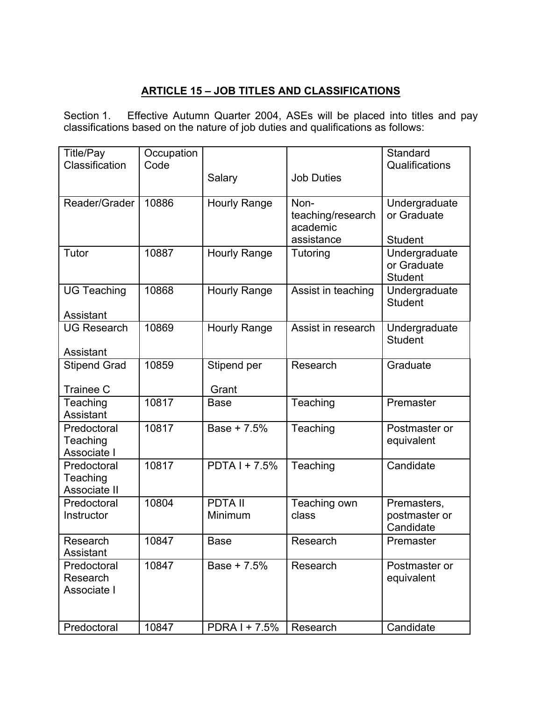## **ARTICLE 15 – JOB TITLES AND CLASSIFICATIONS**

Section 1. Effective Autumn Quarter 2004, ASEs will be placed into titles and pay classifications based on the nature of job duties and qualifications as follows:

| <b>Title/Pay</b>        | Occupation |                           |                    | Standard       |
|-------------------------|------------|---------------------------|--------------------|----------------|
| Classification          | Code       |                           |                    | Qualifications |
|                         |            | Salary                    | <b>Job Duties</b>  |                |
|                         |            |                           |                    |                |
| Reader/Grader           | 10886      | <b>Hourly Range</b>       | Non-               | Undergraduate  |
|                         |            |                           | teaching/research  | or Graduate    |
|                         |            |                           | academic           |                |
|                         |            |                           | assistance         | <b>Student</b> |
| Tutor                   | 10887      | <b>Hourly Range</b>       | Tutoring           | Undergraduate  |
|                         |            |                           |                    | or Graduate    |
|                         |            |                           |                    | <b>Student</b> |
| <b>UG Teaching</b>      | 10868      | <b>Hourly Range</b>       | Assist in teaching | Undergraduate  |
|                         |            |                           |                    | <b>Student</b> |
| Assistant               |            |                           |                    |                |
| <b>UG Research</b>      | 10869      | <b>Hourly Range</b>       | Assist in research | Undergraduate  |
|                         |            |                           |                    | <b>Student</b> |
| Assistant               |            |                           |                    |                |
| <b>Stipend Grad</b>     | 10859      | Stipend per               | Research           | Graduate       |
|                         |            |                           |                    |                |
| <b>Trainee C</b>        |            | Grant                     |                    |                |
| Teaching<br>Assistant   | 10817      | <b>Base</b>               | Teaching           | Premaster      |
|                         | 10817      | Base + 7.5%               |                    |                |
| Predoctoral             |            |                           | Teaching           | Postmaster or  |
| Teaching<br>Associate I |            |                           |                    | equivalent     |
| Predoctoral             | 10817      | $\overline{PDTA1}$ + 7.5% | Teaching           | Candidate      |
| Teaching                |            |                           |                    |                |
| Associate II            |            |                           |                    |                |
| Predoctoral             | 10804      | <b>PDTA II</b>            | Teaching own       | Premasters,    |
| Instructor              |            | Minimum                   | class              | postmaster or  |
|                         |            |                           |                    | Candidate      |
| Research                | 10847      | <b>Base</b>               | Research           | Premaster      |
| Assistant               |            |                           |                    |                |
| Predoctoral             | 10847      | Base + 7.5%               | Research           | Postmaster or  |
| Research                |            |                           |                    | equivalent     |
| Associate I             |            |                           |                    |                |
|                         |            |                           |                    |                |
|                         |            |                           |                    |                |
| Predoctoral             | 10847      | PDRA I + 7.5%             | Research           | Candidate      |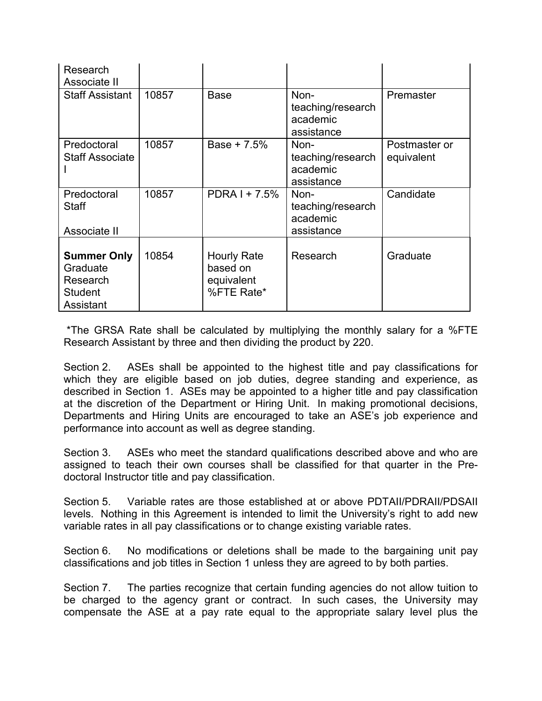| Research<br>Associate II                                                  |       |                                                            |                                                     |                             |
|---------------------------------------------------------------------------|-------|------------------------------------------------------------|-----------------------------------------------------|-----------------------------|
| <b>Staff Assistant</b>                                                    | 10857 | <b>Base</b>                                                | Non-<br>teaching/research<br>academic<br>assistance | Premaster                   |
| Predoctoral<br><b>Staff Associate</b>                                     | 10857 | Base $+ 7.5%$                                              | Non-<br>teaching/research<br>academic<br>assistance | Postmaster or<br>equivalent |
| Predoctoral<br><b>Staff</b><br>Associate II                               | 10857 | $PDRAM + 7.5\%$                                            | Non-<br>teaching/research<br>academic<br>assistance | Candidate                   |
| <b>Summer Only</b><br>Graduate<br>Research<br><b>Student</b><br>Assistant | 10854 | <b>Hourly Rate</b><br>based on<br>equivalent<br>%FTE Rate* | Research                                            | Graduate                    |

\*The GRSA Rate shall be calculated by multiplying the monthly salary for a %FTE Research Assistant by three and then dividing the product by 220.

Section 2. ASEs shall be appointed to the highest title and pay classifications for which they are eligible based on job duties, degree standing and experience, as described in Section 1. ASEs may be appointed to a higher title and pay classification at the discretion of the Department or Hiring Unit. In making promotional decisions, Departments and Hiring Units are encouraged to take an ASE's job experience and performance into account as well as degree standing.

Section 3. ASEs who meet the standard qualifications described above and who are assigned to teach their own courses shall be classified for that quarter in the Predoctoral Instructor title and pay classification.

Section 5. Variable rates are those established at or above PDTAII/PDRAII/PDSAII levels. Nothing in this Agreement is intended to limit the University's right to add new variable rates in all pay classifications or to change existing variable rates.

Section 6. No modifications or deletions shall be made to the bargaining unit pay classifications and job titles in Section 1 unless they are agreed to by both parties.

Section 7. The parties recognize that certain funding agencies do not allow tuition to be charged to the agency grant or contract. In such cases, the University may compensate the ASE at a pay rate equal to the appropriate salary level plus the